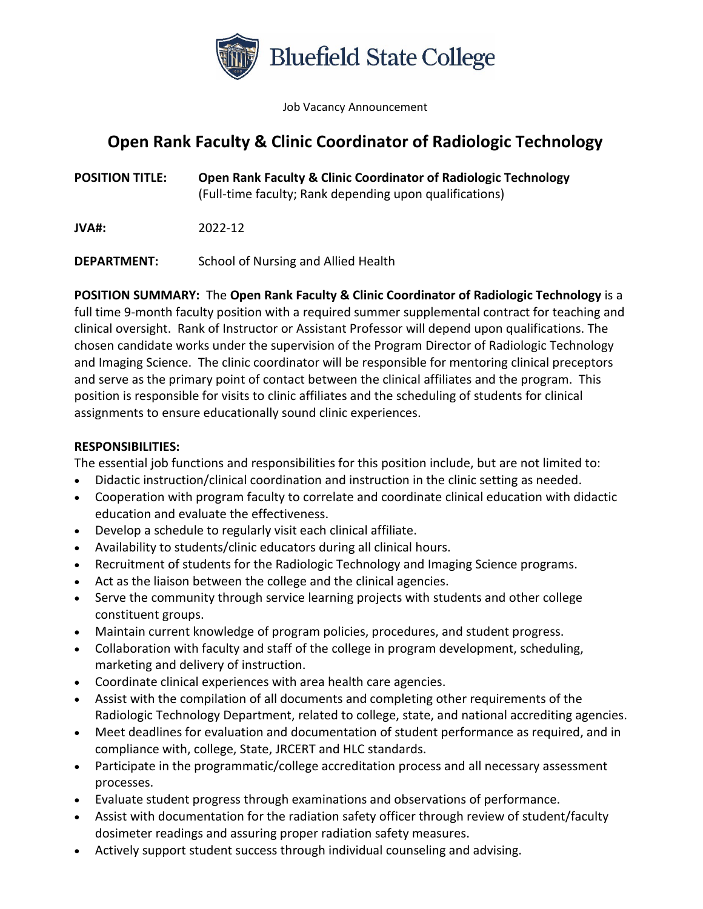

Job Vacancy Announcement

## **Open Rank Faculty & Clinic Coordinator of Radiologic Technology**

**POSITION TITLE: Open Rank Faculty & Clinic Coordinator of Radiologic Technology** (Full-time faculty; Rank depending upon qualifications)

**JVA#:** 2022-12

**DEPARTMENT:** School of Nursing and Allied Health

**POSITION SUMMARY:** The **Open Rank Faculty & Clinic Coordinator of Radiologic Technology** is a full time 9-month faculty position with a required summer supplemental contract for teaching and clinical oversight. Rank of Instructor or Assistant Professor will depend upon qualifications. The chosen candidate works under the supervision of the Program Director of Radiologic Technology and Imaging Science. The clinic coordinator will be responsible for mentoring clinical preceptors and serve as the primary point of contact between the clinical affiliates and the program. This position is responsible for visits to clinic affiliates and the scheduling of students for clinical assignments to ensure educationally sound clinic experiences.

## **RESPONSIBILITIES:**

The essential job functions and responsibilities for this position include, but are not limited to:

- Didactic instruction/clinical coordination and instruction in the clinic setting as needed.
- Cooperation with program faculty to correlate and coordinate clinical education with didactic education and evaluate the effectiveness.
- Develop a schedule to regularly visit each clinical affiliate.
- Availability to students/clinic educators during all clinical hours.
- Recruitment of students for the Radiologic Technology and Imaging Science programs.
- Act as the liaison between the college and the clinical agencies.
- Serve the community through service learning projects with students and other college constituent groups.
- Maintain current knowledge of program policies, procedures, and student progress.
- Collaboration with faculty and staff of the college in program development, scheduling, marketing and delivery of instruction.
- Coordinate clinical experiences with area health care agencies.
- Assist with the compilation of all documents and completing other requirements of the Radiologic Technology Department, related to college, state, and national accrediting agencies.
- Meet deadlines for evaluation and documentation of student performance as required, and in compliance with, college, State, JRCERT and HLC standards.
- Participate in the programmatic/college accreditation process and all necessary assessment processes.
- Evaluate student progress through examinations and observations of performance.
- Assist with documentation for the radiation safety officer through review of student/faculty dosimeter readings and assuring proper radiation safety measures.
- Actively support student success through individual counseling and advising.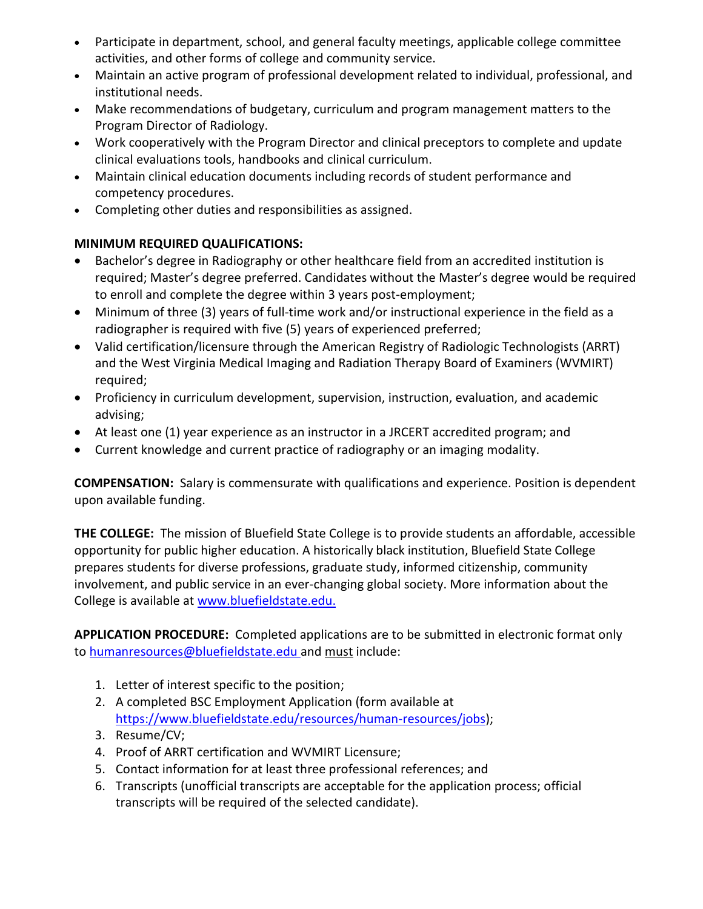- Participate in department, school, and general faculty meetings, applicable college committee activities, and other forms of college and community service.
- Maintain an active program of professional development related to individual, professional, and institutional needs.
- Make recommendations of budgetary, curriculum and program management matters to the Program Director of Radiology.
- Work cooperatively with the Program Director and clinical preceptors to complete and update clinical evaluations tools, handbooks and clinical curriculum.
- Maintain clinical education documents including records of student performance and competency procedures.
- Completing other duties and responsibilities as assigned.

## **MINIMUM REQUIRED QUALIFICATIONS:**

- Bachelor's degree in Radiography or other healthcare field from an accredited institution is required; Master's degree preferred. Candidates without the Master's degree would be required to enroll and complete the degree within 3 years post-employment;
- Minimum of three (3) years of full-time work and/or instructional experience in the field as a radiographer is required with five (5) years of experienced preferred;
- Valid certification/licensure through the American Registry of Radiologic Technologists (ARRT) and the West Virginia Medical Imaging and Radiation Therapy Board of Examiners (WVMIRT) required;
- Proficiency in curriculum development, supervision, instruction, evaluation, and academic advising;
- At least one (1) year experience as an instructor in a JRCERT accredited program; and
- Current knowledge and current practice of radiography or an imaging modality.

**COMPENSATION:** Salary is commensurate with qualifications and experience. Position is dependent upon available funding.

**THE COLLEGE:** The mission of Bluefield State College is to provide students an affordable, accessible opportunity for public higher education. A historically black institution, Bluefield State College prepares students for diverse professions, graduate study, informed citizenship, community involvement, and public service in an ever-changing global society. More information about the College is available at [www.bluefieldstate.edu.](http://www.bluefieldstate.edu/)

**APPLICATION PROCEDURE:** Completed applications are to be submitted in electronic format only to [humanresources@bluefieldstate.edu](mailto:humanresources@bluefieldstate.edu) and must include:

- 1. Letter of interest specific to the position;
- 2. A completed BSC Employment Application (form available at [https://www.bluefieldstate.edu/resources/human-resources/jobs\)](https://www.bluefieldstate.edu/resources/human-resources/jobs);
- 3. Resume/CV;
- 4. Proof of ARRT certification and WVMIRT Licensure;
- 5. Contact information for at least three professional references; and
- 6. Transcripts (unofficial transcripts are acceptable for the application process; official transcripts will be required of the selected candidate).